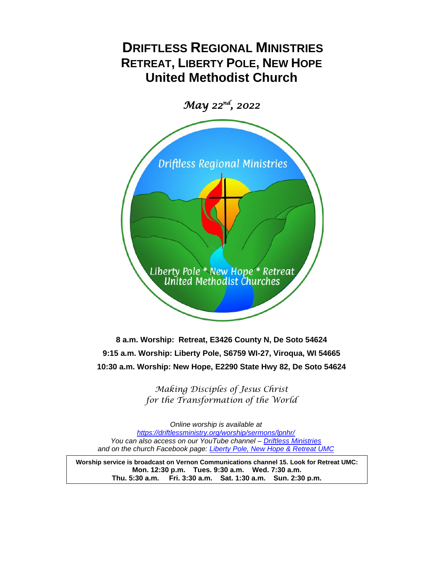# **DRIFTLESS REGIONAL MINISTRIES RETREAT, LIBERTY POLE, NEW HOPE United Methodist Church**

*May 22nd, 2022*



**8 a.m. Worship: Retreat, E3426 County N, De Soto 54624 9:15 a.m. Worship: Liberty Pole, S6759 WI-27, Viroqua, WI 54665 10:30 a.m. Worship: New Hope, E2290 State Hwy 82, De Soto 54624**

> *Making Disciples of Jesus Christ for the Transformation of the World*

*Online worship is available at https://driftlessministry.org/worship/sermons/lpnhr/ You can also access on our YouTube channel – [Driftless Ministries](https://www.youtube.com/channel/UCnm-4oXx7fQtIkFgZps4Zcg) and on the church Facebook page: [Liberty Pole, New Hope & Retreat UMC](https://www.facebook.com/NewHopeRetreatDRM)*

**Worship service is broadcast on Vernon Communications channel 15. Look for Retreat UMC: Mon. 12:30 p.m. Tues. 9:30 a.m. Wed. 7:30 a.m. Thu. 5:30 a.m. Fri. 3:30 a.m. Sat. 1:30 a.m. Sun. 2:30 p.m.**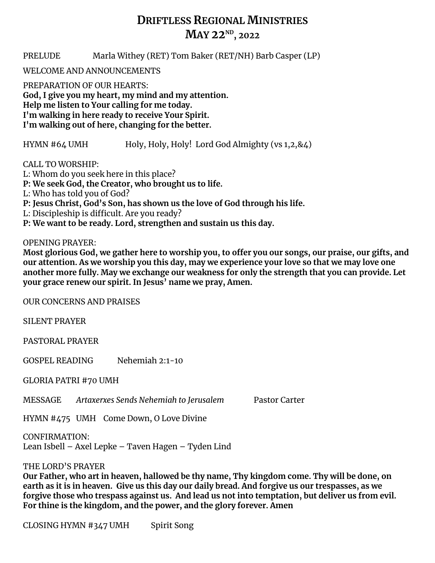## **DRIFTLESS REGIONAL MINISTRIES MAY 22ND, 2022**

PRELUDE Marla Withey (RET) Tom Baker (RET/NH) Barb Casper (LP)

WELCOME AND ANNOUNCEMENTS

PREPARATION OF OUR HEARTS: **God, I give you my heart, my mind and my attention. Help me listen to Your calling for me today. I'm walking in here ready to receive Your Spirit. I'm walking out of here, changing for the better.**

HYMN #64 UMH Holy, Holy, Holy! Lord God Almighty (vs 1,2,&4)

CALL TO WORSHIP:

L: Whom do you seek here in this place?

**P: We seek God, the Creator, who brought us to life.**

L: Who has told you of God?

**P: Jesus Christ, God's Son, has shown us the love of God through his life.**

L: Discipleship is difficult. Are you ready?

**P: We want to be ready. Lord, strengthen and sustain us this day.** 

OPENING PRAYER:

**Most glorious God, we gather here to worship you, to offer you our songs, our praise, our gifts, and our attention. As we worship you this day, may we experience your love so that we may love one another more fully. May we exchange our weakness for only the strength that you can provide. Let your grace renew our spirit. In Jesus' name we pray, Amen.**

OUR CONCERNS AND PRAISES

SILENT PRAYER

PASTORAL PRAYER

GOSPEL READING Nehemiah 2:1-10

GLORIA PATRI #70 UMH

MESSAGE *Artaxerxes Sends Nehemiah to Jerusalem* Pastor Carter

HYMN #475 UMH Come Down, O Love Divine

CONFIRMATION: Lean Isbell – Axel Lepke – Taven Hagen – Tyden Lind

THE LORD'S PRAYER

**Our Father, who art in heaven, hallowed be thy name, Thy kingdom come. Thy will be done, on earth as it is in heaven. Give us this day our daily bread. And forgive us our trespasses, as we forgive those who trespass against us. And lead us not into temptation, but deliver us from evil. For thine is the kingdom, and the power, and the glory forever. Amen**

CLOSING HYMN #347 UMH Spirit Song